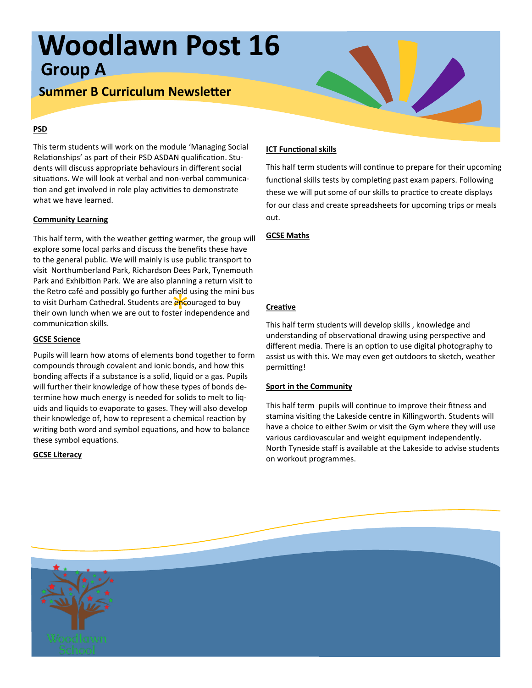# **Woodlawn Post 16 Group A**

# **Summer B Curriculum Newsletter**

### **PSD**

This term students will work on the module 'Managing Social Relationships' as part of their PSD ASDAN qualification. Students will discuss appropriate behaviours in different social situations. We will look at verbal and non-verbal communication and get involved in role play activities to demonstrate what we have learned.

### **Community Learning**

meid<br>: <mark>enc</mark>d<br>:ter in This half term, with the weather getting warmer, the group will explore some local parks and discuss the benefits these have to the general public. We will mainly is use public transport to visit Northumberland Park, Richardson Dees Park, Tynemouth Park and Exhibition Park. We are also planning a return visit to the Retro café and possibly go further afield using the mini bus to visit Durham Cathedral. Students are encouraged to buy their own lunch when we are out to foster independence and communication skills.

#### **GCSE Science**

Pupils will learn how atoms of elements bond together to form compounds through covalent and ionic bonds, and how this bonding affects if a substance is a solid, liquid or a gas. Pupils will further their knowledge of how these types of bonds determine how much energy is needed for solids to melt to liquids and liquids to evaporate to gases. They will also develop their knowledge of, how to represent a chemical reaction by writing both word and symbol equations, and how to balance these symbol equations.

#### **GCSE Literacy**

### **ICT Functional skills**

This half term students will continue to prepare for their upcoming functional skills tests by completing past exam papers. Following these we will put some of our skills to practice to create displays for our class and create spreadsheets for upcoming trips or meals out.

### **GCSE Maths**

### **Creative**

This half term students will develop skills , knowledge and understanding of observational drawing using perspective and different media. There is an option to use digital photography to assist us with this. We may even get outdoors to sketch, weather permitting!

### **Sport in the Community**

This half term pupils will continue to improve their fitness and stamina visiting the Lakeside centre in Killingworth. Students will have a choice to either Swim or visit the Gym where they will use various cardiovascular and weight equipment independently. North Tyneside staff is available at the Lakeside to advise students on workout programmes.